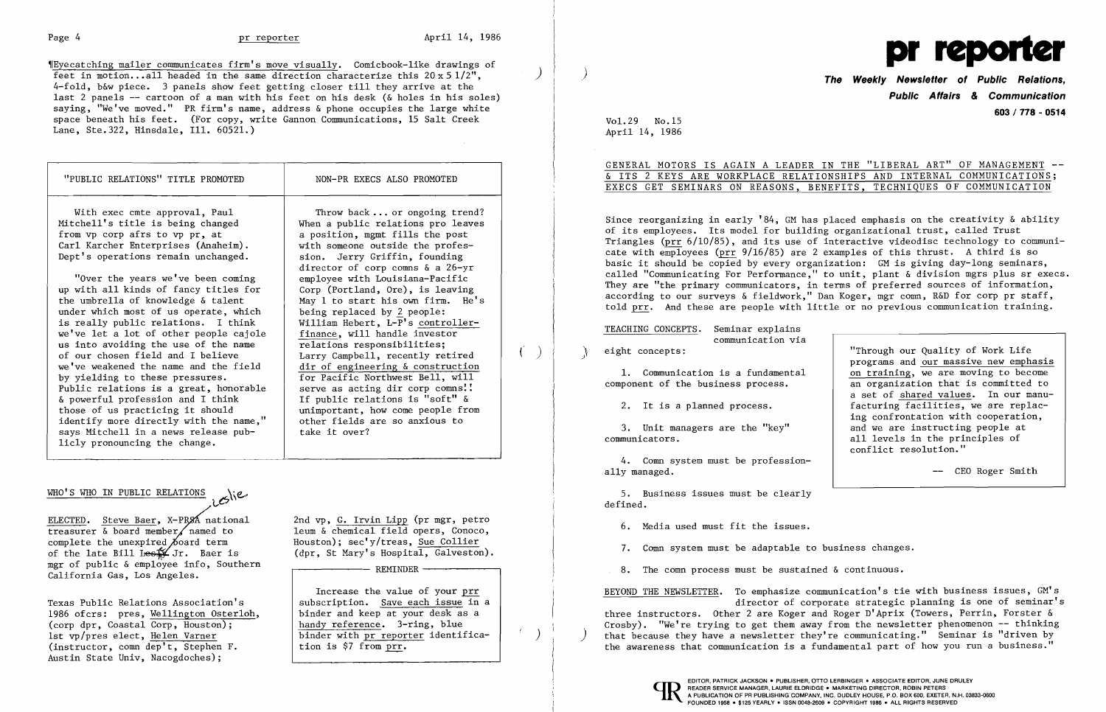,rEyecatching mailer communicates firm's move visually. Comicbook-like drawings of feet in motion...all headed in the same direction characterize this  $20 \times 5 \frac{1}{2}$ , 4-fold, b&w piece. 3 panels show feet getting closer till they arrive at the last 2 panels -- cartoon of a man with his feet on his desk (& holes in his soles) saying, "We've moved." PR firm's name, address & phone occupies the large white space beneath his feet. (For copy, write Gannon Communications, 15 Salt Creek Lane, Ste.322, Hinsdale, Ill. 60521.)

ELECTED. Steve Baer, X-PRSA national treasurer  $\&$  board member named to complete the unexpired  $\cancel{b}$ oard term of the late Bill Lest Jr. Baer is mgr of public & employee info, Southern California Gas, Los Angeles.

GENERAL MOTORS IS AGAIN A LEADER IN THE "LIBERAL ART" OF MANAGEMENT -<u>& ITS 2 KEYS ARE WORKPLACE RELATIONSHIPS AND INTERNAL COMMUNICATIONS</u>; EXECS GET SEMINARS ON REASONS, BENEFITS, TECHNIQUES OF COMMUNICATION

Texas Public Relations Association's 1986 ofcrs: pres, Wellington Osterloh, (corp dpr, Coastal Corp, Houston); 1st vp/pres elect, Helen Varner (instructor, comn dep't, Stephen F. Austin State Univ, Nacogdoches);

| "PUBLIC RELATIONS" TITLE PROMOTED                                                                                                                                                                                                                                                                                                                                                                                                                                                                                                                                                                                                                                                                                                                                                                                               | NON-PR EXECS ALSO PROMOTED                                                                                                                                                                                                                                                                                                                                                                                                                                                                                                                                                                                                                                                                                                                     |  |
|---------------------------------------------------------------------------------------------------------------------------------------------------------------------------------------------------------------------------------------------------------------------------------------------------------------------------------------------------------------------------------------------------------------------------------------------------------------------------------------------------------------------------------------------------------------------------------------------------------------------------------------------------------------------------------------------------------------------------------------------------------------------------------------------------------------------------------|------------------------------------------------------------------------------------------------------------------------------------------------------------------------------------------------------------------------------------------------------------------------------------------------------------------------------------------------------------------------------------------------------------------------------------------------------------------------------------------------------------------------------------------------------------------------------------------------------------------------------------------------------------------------------------------------------------------------------------------------|--|
| With exec cmte approval, Paul<br>Mitchell's title is being changed<br>from vp corp afrs to vp pr, at<br>Carl Karcher Enterprises (Anaheim).<br>Dept's operations remain unchanged.<br>"Over the years we've been coming<br>up with all kinds of fancy titles for<br>the umbrella of knowledge & talent<br>under which most of us operate, which<br>is really public relations. I think<br>we've let a lot of other people cajole<br>us into avoiding the use of the name<br>of our chosen field and I believe<br>we've weakened the name and the field<br>by yielding to these pressures.<br>Public relations is a great, honorable<br>& powerful profession and I think<br>those of us practicing it should<br>identify more directly with the name,"<br>says Mitchell in a news release pub-<br>licly pronouncing the change. | Throw back  or ongoing trend?<br>When a public relations pro leaves<br>a position, mgmt fills the post<br>with someone outside the profes-<br>sion. Jerry Griffin, founding<br>director of corp comns $\&$ a 26-yr<br>employee with Louisiana-Pacific<br>Corp (Portland, Ore), is leaving<br>May 1 to start his own firm. He's<br>being replaced by 2 people:<br>William Hebert, L-P's controller-<br>finance, will handle investor<br>relations responsibilities;<br>Larry Campbell, recently retired<br>dir of engineering & construction<br>for Pacific Northwest Bell, will<br>serve as acting dir corp comns!!<br>If public relations is "soft" &<br>unimportant, how come people from<br>other fields are so anxious to<br>take it over? |  |

## $MHO'S MHO IN PUBLIC RELATIONS$

TEACHING CONCEPTS. Seminar explains communication via eight concepts:

2nd vp, G. Irvin Lipp (pr mgr, petro leum & chemical field opers, Conoco, Houston); sec'y/treas, Sue Collier (dpr, St Mary's Hospital, Galveston).

REMINDER

 $\mathbf{I}$ 

Increase the value of your prr subscription. Save each issue in a binder and keep at your desk as a handy reference. 3-ring, blue binder with pr reporter identification is \$7 from prr.

)

)



Vol. 29 No.15 April 14, 1986 **The Weekly Newsletter of Public Relations, Public Affairs** *&* **Communication 603/778 - 0514** 

Since reorganizing in early '84, GM has placed emphasis on the creativity & ability of its employees. Its model for building organizational trust, called Trust Triangles (prr 6/10/85), and its use of interactive videodisc technology to communicate with employees (prr 9/16/85) are 2 examples of this thrust. A third is so basic it should be copied by every organization: GM is giving day-long seminars, called "Communicating For Performance," to unit, plant & division mgrs plus sr execs. They are "the primary communicators, in terms of preferred sources of information, according to our surveys & fieldwork," Dan Koger, mgr comn, R&D for corp pr staff, told prr. And these are people with little or no previous communication training.

J

1. Communication is a fundamental component of the business process.

2. It is a planned process.

3. Unit managers are the "key" communicators.

4. Comn system must be professionally managed.

5. Business issues must be clearly defined.

6. Media used must fit the issues.

7. Comn system must be adaptable to business changes.

"Through our Quality of Work Life programs and our massive new emphasis on training, we are moving to become an organization that is committed to a set of shared values. In our manufacturing facilities, we are replacing confrontation with cooperation, and we are instructing people at all levels in the principles of conflict resolution."

CEO Roger Smith

8. The comn process must be sustained & continuous.

director of corporate strategic planning is one of seminar's

BEYOND THE NEWSLETTER. To emphasize communication's tie with business issues, GM's three instructors. Other 2 are Koger and Roger D'Aprix (Towers, Perrin, Forster & Crosby). "We're trying to get them away from the newsletter phenomenon -- thinking that because they have a newsletter they're communicating." Seminar is "driven by the awareness that communication is a fundamental part of how you run a business."